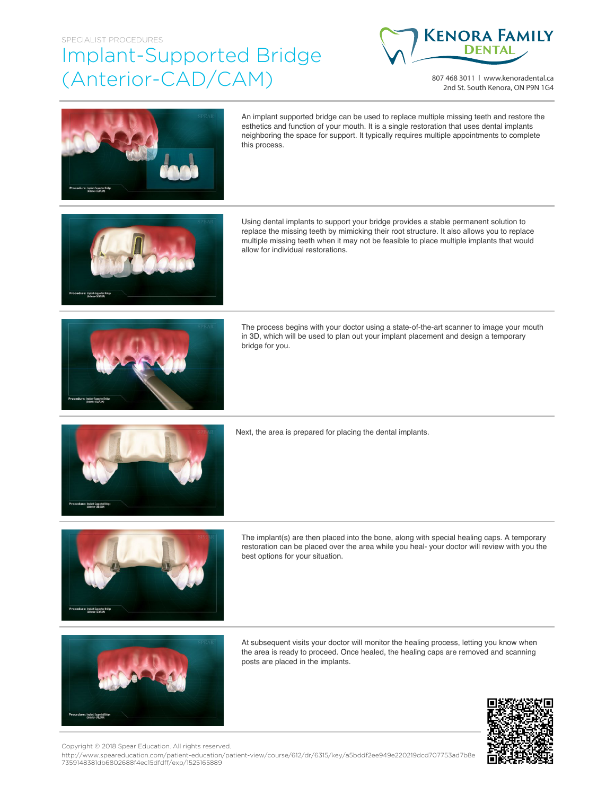## SPECIALIST PROCEDURES Implant-Supported Bridge (Anterior-CAD/CAM)



807 468 3011 | www.kenoradental.ca 2nd St. South Kenora, ON P9N 1G4



An implant supported bridge can be used to replace multiple missing teeth and restore the esthetics and function of your mouth. It is a single restoration that uses dental implants neighboring the space for support. It typically requires multiple appointments to complete this process.



Using dental implants to support your bridge provides a stable permanent solution to replace the missing teeth by mimicking their root structure. It also allows you to replace multiple missing teeth when it may not be feasible to place multiple implants that would allow for individual restorations.



The process begins with your doctor using a state-of-the-art scanner to image your mouth in 3D, which will be used to plan out your implant placement and design a temporary bridge for you.



Next, the area is prepared for placing the dental implants.



The implant(s) are then placed into the bone, along with special healing caps. A temporary restoration can be placed over the area while you heal- your doctor will review with you the best options for your situation.



At subsequent visits your doctor will monitor the healing process, letting you know when the area is ready to proceed. Once healed, the healing caps are removed and scanning posts are placed in the implants.



Copyright © 2018 Spear Education. All rights reserved.

http://www.speareducation.com/patient-education/patient-view/course/612/dr/6315/key/a5bddf2ee949e220219dcd707753ad7b8e 7359148381db6802688f4ec15dfdff/exp/1525165889